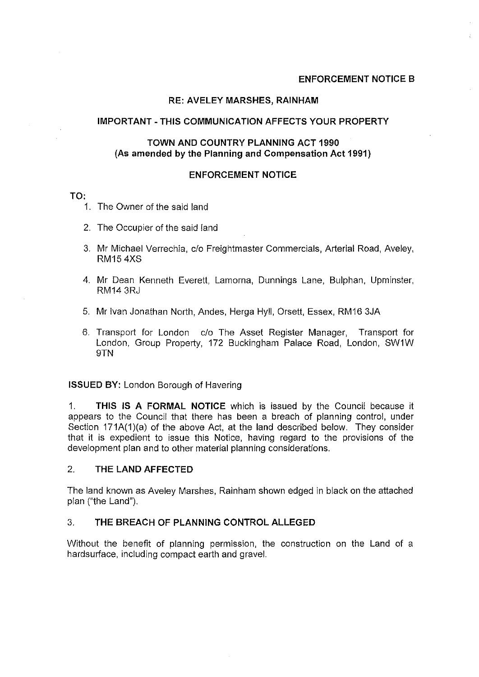# **ENFORCEMENT NOTICE B**

## **RE: AVELEY MARSHES, RAINHAM**

### **IMPORTANT - THIS COMMUNICATION AFFECTS YOUR PROPERTY**

## **TOWN AND COUNTRY PLANNING ACT 1990** (As **amended by the Planning and Compensation Act 1991)**

#### **ENFORCEMENT NOTICE**

#### **TO:**

- 1. The Owner of the said land
- 2. The Occupier of the said land
- 3. Mr Michael Verrechia, c/o Freightmaster Commercials, Arterial Road, Aveley, RM15 4XS
- 4. Mr Dean Kenneth Everett, Lamorna, Dunnings Lane, Bulphan, Upminster, RM14 3RJ
- 5. Mr Ivan Jonathan North, Andes, Herga Hyll, Orsett, Essex, RM16 3JA
- 6. Transport for London c/o The Asset Register Manager, Transport for London, Group Property, 172 Buckingham Palace Road, London, SW1W 9TN

#### **ISSUED BY:** London Borough of Havering

1. **THIS IS A FORMAL NOTICE** which is issued by the Council because it appears to the Council that there has been a breach of planning control, under Section 171A(1)(a) of the above Act, at the land described below. They consider that it is expedient to issue this Notice, having regard to the provisions of the development plan and to other material planning considerations.

# 2. **THE LAND AFFECTED**

The land known as Aveley Marshes, Rainham shown edged in black on the attached plan ("the Land").

## 3. **THE BREACH OF PLANNING CONTROL ALLEGED**

Without the benefit of planning permission, the construction on the Land of a hardsurface, including compact earth and gravel.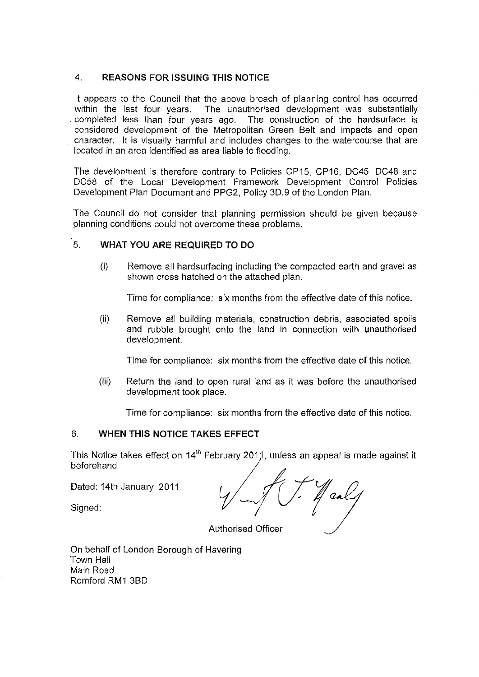# 4. **REASONS FOR ISSUING THIS NOTICE**

It appears to the Council that the above breach of planning control has occurred within the last four years. The unauthorised development was substantially completed less than four vears ago. The construction of the hardsurface is completed less than four years ago. considered development of the Metropolitan Green Belt and impacts and open character. It is visually harmful and includes changes to the watercourse that are located in an area identified as area liable to flooding.

The development is therefore contrary to Policies CP15, CP16, DC45, DC48 and DC58 of the Local Development Framework Development Control Policies Development Plan Document and PPG2, Policy 3D.9 of the London Plan.

The Council do not consider that planning permission should be given because planning conditions could not overcome these problems.

# 5. **WHAT YOU ARE REQUIRED TO DO**

(i) Remove all hardsurfacing including the compacted earth and gravel as shown cross hatched on the attached plan.

Time for compliance: six months from the effective date of this notice.

(ii) Remove all building materials, construction debris, associated spoils and rubble brought onto the land in connection with unauthorised development.

Time for compliance: six months from the effective date of this notice.

(iii) Return the land to open rural land as it was before the unauthorised development took place.

Time for compliance: six months from the effective date of this notice.

# 6. **WHEN THIS NOTICE TAKES EFFECT**

This Notice takes effect on 14<sup>th</sup> February 2011, unless an appeal is made against it beforehand

Dated: 14th January 2011

Signed:

J caly

Authorised Officer

On behalf of London Borough of Havering Town Hall Main Road Romford RM1 3BD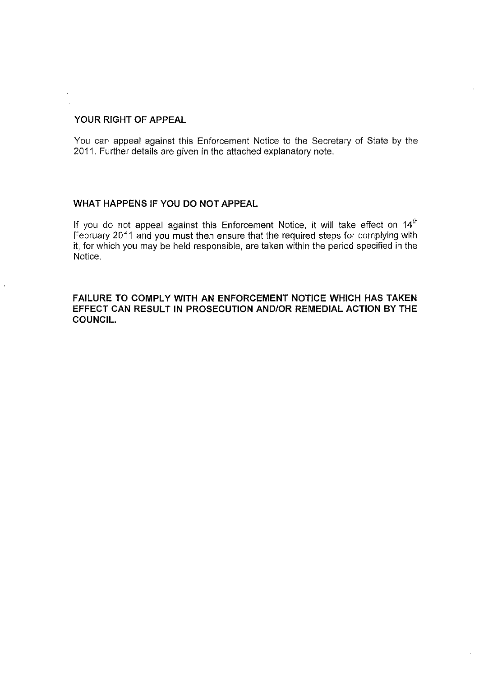# **YOUR RIGHT OF APPEAL**

You can appeal against this Enforcement Notice to the Secretary of State by the 2011. Further details are given in the attached explanatory note.

# **WHAT HAPPENS IF YOU DO NOT APPEAL**

If you do not appeal against this Enforcement Notice, it will take effect on 14<sup>th</sup> February 2011 and you must then ensure that the required steps for complying with it, for which you may be held responsible, are taken within the period specified in the Notice.

**FAILURE TO COMPLY WITH AN ENFORCEMENT NOTICE WHICH HAS TAKEN EFFECT CAN RESULT IN PROSECUTION AND/OR REMEDIAL ACTION BY THE COUNCIL.**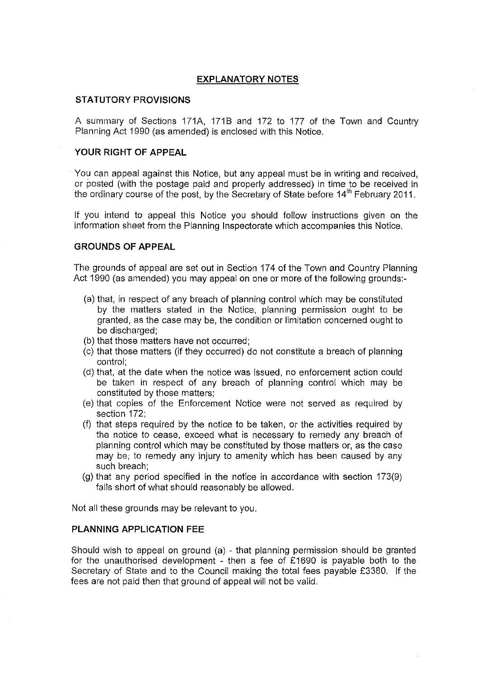## **EXPLANATORY NOTES**

#### **STATUTORY PROVISIONS**

A summary of Sections 171A, 1718 and 172 to 177 of the Town and Country Planning Act 1990 (as amended) is enclosed with this Notice.

### **YOUR RIGHT OF APPEAL**

You can appeal against this Notice, but any appeal must be in writing and received, or posted (with the postage paid and properly addressed) in time to be received in the ordinary course of the post, by the Secretary of State before  $14<sup>th</sup>$  February 2011.

If you intend to appeal this Notice you should follow instructions given on the information sheet from the Planning Inspectorate which accompanies this Notice.

### **GROUNDS OF APPEAL**

The grounds of appeal are set out in Section 174 of the Town and Country Planning Act 1990 (as amended) you may appeal on one or more of the following grounds:

- (a) that, in respect of any breach of planning control which may be constituted by the matters stated in the Notice, planning permission ought to be granted, as the case may be, the condition or limitation concerned ought to be discharged;
- (b) that those matters have not occurred;
- (c) that those matters (if they occurred) do not constitute a breach of planning control;
- (d) that, at the date when the notice was issued, no enforcement action could be taken in respect of any breach of planning control which may be constituted by those matters;
- (e) that copies of the Enforcement Notice were not served as required by section 172;
- (f) that steps required by the notice to be taken, or the activities required by the notice to cease, exceed what is necessary to remedy any breach of planning control which may be constituted by those matters or, as the case may be; to remedy any injury to amenity which has been caused by any such breach;
- (g) that any period specified in the notice in accordance with section 173(9) falls short of what should reasonably be allowed.

Not all these grounds may be relevant to you.

### **PLANNING APPLICATION FEE**

Should wish to appeal on ground (a) - that planning permission should be granted for the unauthorised development - then a fee of £1690 is payable both to the Secretary of State and to the Council making the total fees payable £3380. If the fees are not paid then that ground of appeal will not be valid.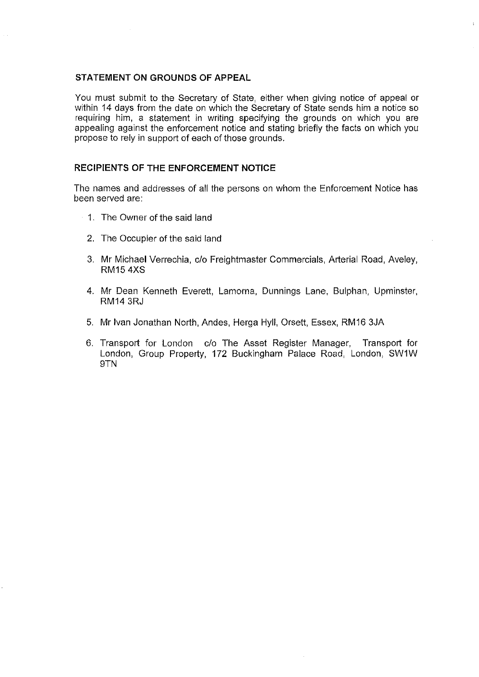#### **STATEMENT ON GROUNDS OF APPEAL**

You must submit to the Secretary of State, either when giving notice of appeal or within 14 days from the date on which the Secretary of State sends him a notice so requiring him, a statement in writing specifying the grounds on which you are appealing against the enforcement notice and stating briefly the facts on which you propose to rely in support of each of those grounds.

## **RECIPIENTS OF THE ENFORCEMENT NOTICE**

The names and addresses of all the persons on whom the Enforcement Notice has been served are:

- 1. The Owner of the said land
	- 2. The Occupier of the said land
	- 3. Mr Michael Verrechia, c/o Freightmaster Commercials, Arterial Road, Aveley, RM15 4XS
	- 4. Mr Dean Kenneth Everett, Lamorna, Dunnings Lane, Bulphan, Upminster, RM14 3RJ
	- 5. Mr Ivan Jonathan North, Andes, Herga Hyll, Orsett, Essex, RM16 3JA
	- 6. Transport for London c/o The Asset Register Manager, Transport for London, Group Property, 172 Buckingham Palace Road, London, SW1W 9TN